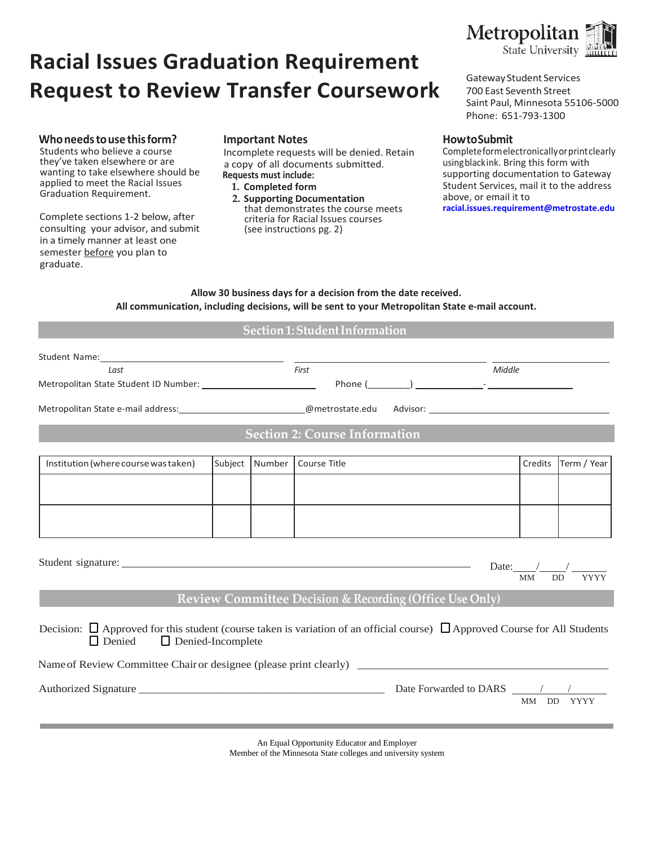# **Racial Issues Graduation Requirement Request to Review Transfer Coursework**

#### **Whoneedstouse this form?**

Students who believe a course they've taken elsewhere or are wanting to take elsewhere should be applied to meet the Racial Issues Graduation Requirement.

Complete sections 1-2 below, after consulting your advisor, and submit in a timely manner at least one semester before you plan to graduate.

#### **Important Notes**

Incomplete requests will be denied. Retain a copy of all documents submitted. **Requests must include:**

- **1. Completed form**
- **2. Supporting Documentation** that demonstrates the course meets criteria for Racial Issues courses (see instructions pg. 2)



Gateway Student Services 700 East Seventh Street Saint Paul, Minnesota 55106-5000 Phone: 651-793-1300

#### **How toSubmit**

Complete formelectronicallyor printclearly usingblackink. Bring this form with supporting documentation to Gateway Student Services, mail it to the address above, or email it to **[racial.issues.requirement@metrostate.edu](mailto:racial.issues.requirement@metrostate.edu)**

**Allow 30 business days for a decision from the date received. All communication, including decisions, will be sent to your Metropolitan State e-mail account.**

#### **Section1: Student Information**

| Last                                                                                                                                                                           |  |  | First                       | Middle  |             |  |
|--------------------------------------------------------------------------------------------------------------------------------------------------------------------------------|--|--|-----------------------------|---------|-------------|--|
|                                                                                                                                                                                |  |  |                             |         |             |  |
|                                                                                                                                                                                |  |  |                             |         |             |  |
| <b>Section 2: Course Information</b>                                                                                                                                           |  |  |                             |         |             |  |
| Institution (where course was taken)                                                                                                                                           |  |  | Subject Number Course Title | Credits | Term / Year |  |
|                                                                                                                                                                                |  |  |                             |         |             |  |
|                                                                                                                                                                                |  |  |                             |         |             |  |
| Date: $/$ /<br><b>YYYY</b><br>MM<br><b>DD</b>                                                                                                                                  |  |  |                             |         |             |  |
| <b>Review Committee Decision &amp; Recording (Office Use Only)</b>                                                                                                             |  |  |                             |         |             |  |
| Decision: $\Box$ Approved for this student (course taken is variation of an official course) $\Box$ Approved Course for All Students<br>$\Box$ Denied $\Box$ Denied-Incomplete |  |  |                             |         |             |  |
|                                                                                                                                                                                |  |  |                             |         |             |  |
| <b>YYYY</b><br>MM DD                                                                                                                                                           |  |  |                             |         |             |  |
|                                                                                                                                                                                |  |  |                             |         |             |  |

An Equal Opportunity Educator and Employer Member of the Minnesota State colleges and university system